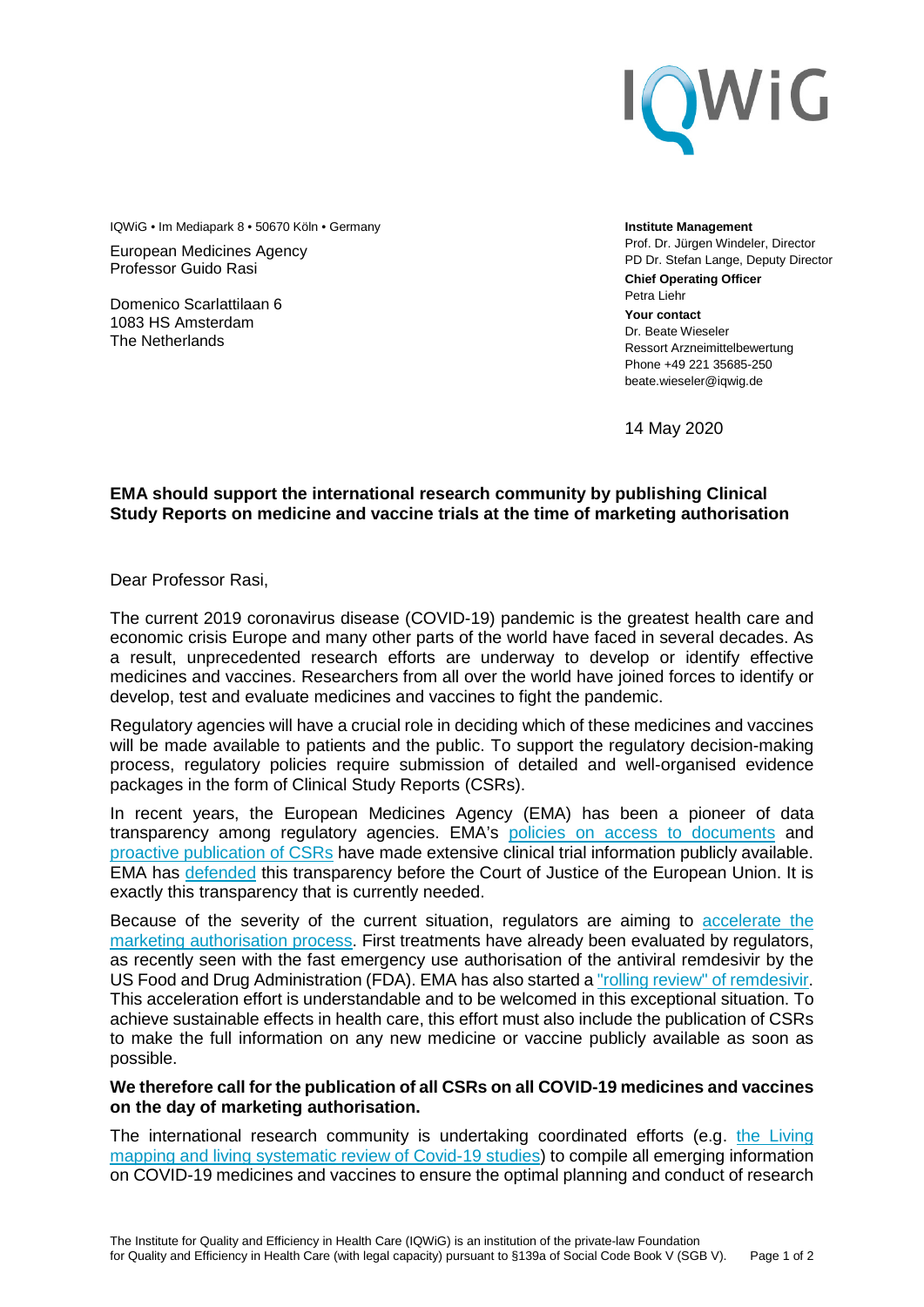

IQWiG • Im Mediapark 8 • 50670 Köln • Germany **Institute Management**

European Medicines Agency Professor Guido Rasi

Domenico Scarlattilaan 6 1083 HS Amsterdam The Netherlands

Prof. Dr. Jürgen Windeler, Director PD Dr. Stefan Lange, Deputy Director

**Chief Operating Officer** Petra Liehr **Your contact** Dr. Beate Wieseler Ressort Arzneimittelbewertung Phone +49 221 35685-250 beate.wieseler@iqwig.de

14 May 2020

## **EMA should support the international research community by publishing Clinical Study Reports on medicine and vaccine trials at the time of marketing authorisation**

Dear Professor Rasi,

The current 2019 coronavirus disease (COVID-19) pandemic is the greatest health care and economic crisis Europe and many other parts of the world have faced in several decades. As a result, unprecedented research efforts are underway to develop or identify effective medicines and vaccines. Researchers from all over the world have joined forces to identify or develop, test and evaluate medicines and vaccines to fight the pandemic.

Regulatory agencies will have a crucial role in deciding which of these medicines and vaccines will be made available to patients and the public. To support the regulatory decision-making process, regulatory policies require submission of detailed and well-organised evidence packages in the form of Clinical Study Reports (CSRs).

In recent years, the European Medicines Agency (EMA) has been a pioneer of data transparency among regulatory agencies. EMA's [policies on access to documents](https://www.ema.europa.eu/en/about-us/how-we-work/access-documents#policy-on-access-to-documents-section) and [proactive publication of CSRs](https://www.ema.europa.eu/en/human-regulatory/marketing-authorisation/clinical-data-publication) have made extensive clinical trial information publicly available. EMA has [defended](https://www.ema.europa.eu/en/news/court-justice-upholds-emas-approach-transparency) this transparency before the Court of Justice of the European Union. It is exactly this transparency that is currently needed.

Because of the severity of the current situation, regulators are aiming to [accelerate the](https://www.ema.europa.eu/en/news/covid-19-how-ema-fast-tracks-development-support-approval-medicines-vaccines)  [marketing authorisation process.](https://www.ema.europa.eu/en/news/covid-19-how-ema-fast-tracks-development-support-approval-medicines-vaccines) First treatments have already been evaluated by regulators, as recently seen with the fast emergency use authorisation of the antiviral remdesivir by the US Food and Drug Administration (FDA). EMA has also started a ["rolling review" of remdesivir.](https://www.ema.europa.eu/en/news/ema-starts-rolling-review-remdesivir-covid-19) This acceleration effort is understandable and to be welcomed in this exceptional situation. To achieve sustainable effects in health care, this effort must also include the publication of CSRs to make the full information on any new medicine or vaccine publicly available as soon as possible.

## **We therefore call for the publication of all CSRs on all COVID-19 medicines and vaccines on the day of marketing authorisation.**

The international research community is undertaking coordinated efforts (e.g. [the Living](https://covid-nma.com/)  [mapping and living systematic review of Covid-19 studies\)](https://covid-nma.com/) to compile all emerging information on COVID-19 medicines and vaccines to ensure the optimal planning and conduct of research